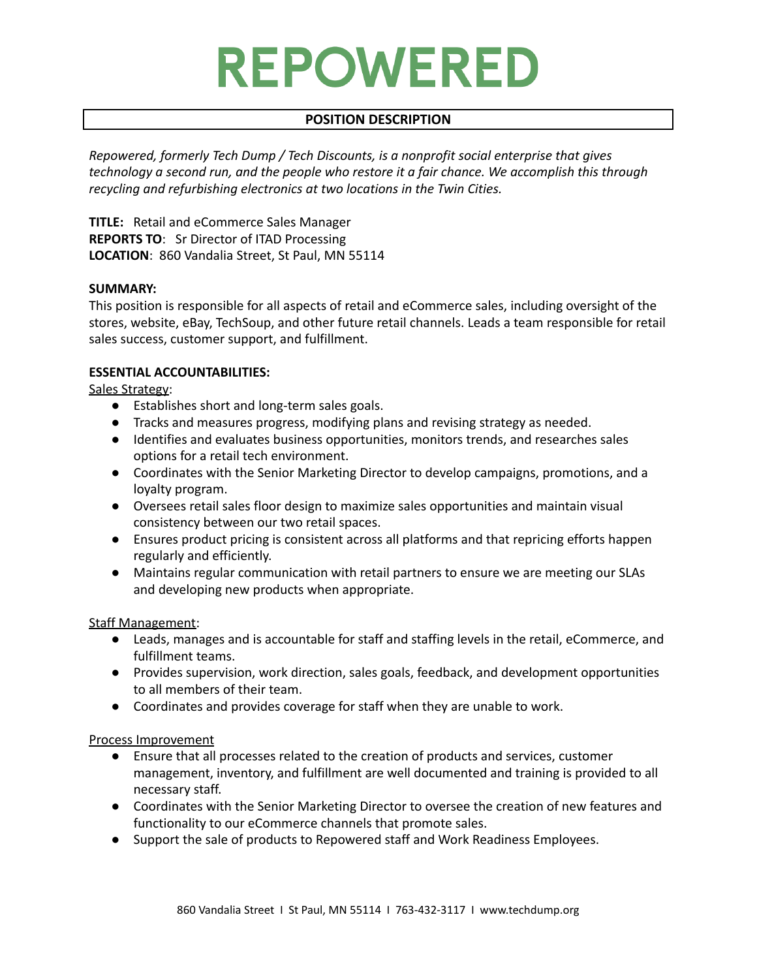# **REPOWERED**

# **POSITION DESCRIPTION**

*Repowered, formerly Tech Dump / Tech Discounts, is a nonprofit social enterprise that gives technology a second run, and the people who restore it a fair chance. We accomplish this through recycling and refurbishing electronics at two locations in the Twin Cities.*

**TITLE:** Retail and eCommerce Sales Manager **REPORTS TO**: Sr Director of ITAD Processing **LOCATION**: 860 Vandalia Street, St Paul, MN 55114

### **SUMMARY:**

This position is responsible for all aspects of retail and eCommerce sales, including oversight of the stores, website, eBay, TechSoup, and other future retail channels. Leads a team responsible for retail sales success, customer support, and fulfillment.

## **ESSENTIAL ACCOUNTABILITIES:**

Sales Strategy:

- Establishes short and long-term sales goals.
- Tracks and measures progress, modifying plans and revising strategy as needed.
- Identifies and evaluates business opportunities, monitors trends, and researches sales options for a retail tech environment.
- Coordinates with the Senior Marketing Director to develop campaigns, promotions, and a loyalty program.
- Oversees retail sales floor design to maximize sales opportunities and maintain visual consistency between our two retail spaces.
- Ensures product pricing is consistent across all platforms and that repricing efforts happen regularly and efficiently.
- Maintains regular communication with retail partners to ensure we are meeting our SLAs and developing new products when appropriate.

Staff Management:

- Leads, manages and is accountable for staff and staffing levels in the retail, eCommerce, and fulfillment teams.
- Provides supervision, work direction, sales goals, feedback, and development opportunities to all members of their team.
- Coordinates and provides coverage for staff when they are unable to work.

#### Process Improvement

- Ensure that all processes related to the creation of products and services, customer management, inventory, and fulfillment are well documented and training is provided to all necessary staff.
- Coordinates with the Senior Marketing Director to oversee the creation of new features and functionality to our eCommerce channels that promote sales.
- Support the sale of products to Repowered staff and Work Readiness Employees.